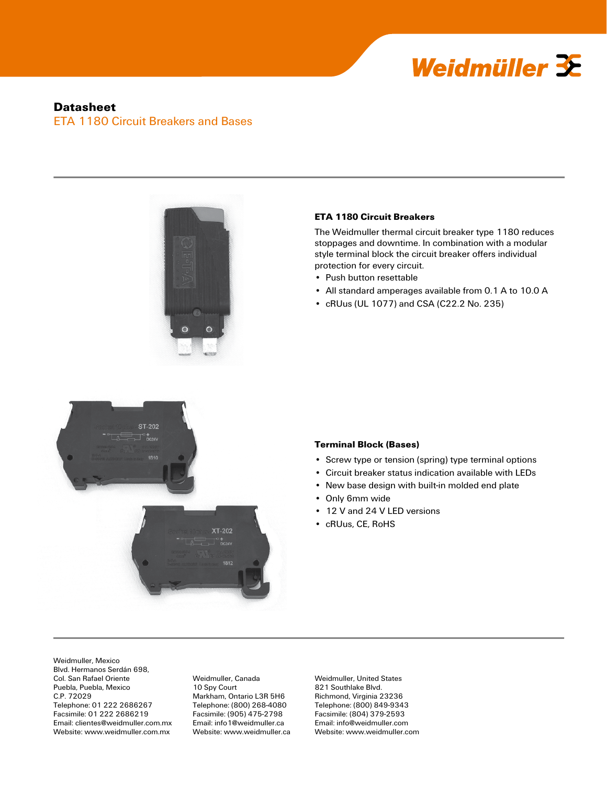

# **Datasheet** ETA 1180 Circuit Breakers and Bases



#### **ETA 1180 Circuit Breakers**

The Weidmuller thermal circuit breaker type 1180 reduces stoppages and downtime. In combination with a modular style terminal block the circuit breaker offers individual protection for every circuit.

- Push button resettable
- All standard amperages available from 0.1 A to 10.0 A
- cRUus (UL 1077) and CSA (C22.2 No. 235)



#### **Terminal Block (Bases)**

- Screw type or tension (spring) type terminal options
- Circuit breaker status indication available with LEDs
- New base design with built-in molded end plate
- Only 6mm wide
- 12 V and 24 V LED versions
- cRUus, CE, RoHS

Weidmuller, Mexico Blvd. Hermanos Serdán 698, Col. San Rafael Oriente Puebla, Puebla, Mexico C.P. 72029 Telephone: 01 222 2686267 Facsimile: 01 222 2686219 Email: clientes@weidmuller.com.mx Website: www.weidmuller.com.mx

Weidmuller, Canada 10 Spy Court Markham, Ontario L3R 5H6 Telephone: (800) 268-4080 Facsimile: (905) 475-2798 Email: info1@weidmuller.ca Website: www.weidmuller.ca

Weidmuller, United States 821 Southlake Blvd. Richmond, Virginia 23236 Telephone: (800) 849-9343 Facsimile: (804) 379-2593 Email: info@weidmuller.com Website: www.weidmuller.com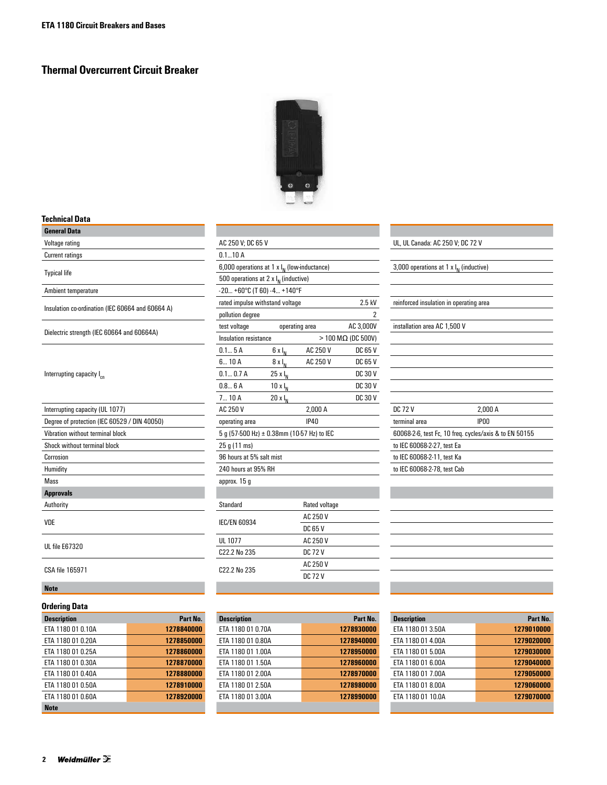# **Thermal Overcurrent Circuit Breaker**



## **Technical Data**

| <b>General Data</b>                              |                                           |                                                |                |                              |                                                        |         |  |
|--------------------------------------------------|-------------------------------------------|------------------------------------------------|----------------|------------------------------|--------------------------------------------------------|---------|--|
| Voltage rating                                   |                                           | AC 250 V; DC 65 V                              |                |                              | UL, UL Canada: AC 250 V; DC 72 V                       |         |  |
| <b>Current ratings</b>                           | 0.110A                                    |                                                |                |                              |                                                        |         |  |
|                                                  |                                           | 6,000 operations at 1 x $I_N$ (low-inductance) |                |                              | 3,000 operations at 1 x $I_{N}$ (inductive)            |         |  |
| <b>Typical life</b>                              | 500 operations at 2 x $I_{N}$ (inductive) |                                                |                |                              |                                                        |         |  |
| Ambient temperature                              | $-20+60°C$ (T 60) $-4+140°F$              |                                                |                |                              |                                                        |         |  |
| Insulation co-ordination (IEC 60664 and 60664 A) | rated impulse withstand voltage           |                                                |                |                              | reinforced insulation in operating area                |         |  |
|                                                  | pollution degree                          | $\overline{2}$                                 |                |                              |                                                        |         |  |
| Dielectric strength (IEC 60664 and 60664A)       | test voltage                              |                                                | operating area | AC 3,000V                    | installation area AC 1,500 V                           |         |  |
|                                                  | Insulation resistance                     |                                                |                | $>$ 100 M $\Omega$ (DC 500V) |                                                        |         |  |
|                                                  | 0.15A                                     | $6 \times I_N$                                 | AC 250 V       | DC 65 V                      |                                                        |         |  |
|                                                  | 6 10A                                     | $8 \times I_N$                                 | AC 250 V       | DC 65 V                      |                                                        |         |  |
| Interrupting capacity I <sub>cn</sub>            | 0.10.7A                                   | $25 \times I_{N}$                              |                | <b>DC 30 V</b>               |                                                        |         |  |
|                                                  | 0.8 6A                                    | $10xI_N$                                       |                | <b>DC 30 V</b>               |                                                        |         |  |
|                                                  | 710A                                      | $20xI_{N}$                                     |                | <b>DC 30 V</b>               |                                                        |         |  |
| Interrupting capacity (UL 1077)                  | AC 250 V                                  |                                                | 2.000 A        |                              | <b>DC 72 V</b>                                         | 2.000 A |  |
| Degree of protection (IEC 60529 / DIN 40050)     | operating area                            |                                                | <b>IP40</b>    |                              | terminal area                                          | IP00    |  |
| Vibration without terminal block                 |                                           | 5 g (57-500 Hz) ± 0.38mm (10-57 Hz) to IEC     |                |                              | 60068-2-6, test Fc, 10 freq. cycles/axis & to EN 50155 |         |  |
| Shock without terminal block                     | 25 g (11 ms)                              |                                                |                |                              | to IEC 60068-2-27, test Ea                             |         |  |
| Corrosion                                        |                                           | 96 hours at 5% salt mist                       |                |                              | to IEC 60068-2-11, test Ka                             |         |  |
| Humidity                                         | 240 hours at 95% RH                       |                                                |                |                              | to IEC 60068-2-78, test Cab                            |         |  |
| Mass                                             | approx. 15 g                              |                                                |                |                              |                                                        |         |  |
| <b>Approvals</b>                                 |                                           |                                                |                |                              |                                                        |         |  |
| Authority                                        | Standard                                  |                                                | Rated voltage  |                              |                                                        |         |  |
|                                                  |                                           |                                                | AC 250 V       |                              |                                                        |         |  |
| VDE                                              | <b>IEC/EN 60934</b>                       |                                                | <b>DC 65 V</b> |                              |                                                        |         |  |
|                                                  | <b>UL 1077</b>                            |                                                | AC 250 V       |                              |                                                        |         |  |
| UL file E67320                                   | C22.2 No 235                              |                                                | <b>DC 72 V</b> |                              |                                                        |         |  |
|                                                  |                                           |                                                | AC 250 V       |                              |                                                        |         |  |
| CSA file 165971                                  |                                           | C22.2 No 235                                   |                |                              |                                                        |         |  |
| <b>Note</b>                                      |                                           |                                                |                |                              |                                                        |         |  |
|                                                  |                                           |                                                |                |                              |                                                        |         |  |

# **Ordering Data**

| <b>Description</b> | Part No.   |
|--------------------|------------|
| ETA 1180 01 0.10A  | 1278840000 |
| ETA 1180 01 0.20A  | 1278850000 |
| ETA 1180 01 0.25A  | 1278860000 |
| ETA 1180 01 0.30A  | 1278870000 |
| ETA 1180 01 0.40A  | 1278880000 |
| ETA 1180 01 0.50A  | 1278910000 |
| ETA 1180 01 0.60A  | 1278920000 |
| <b>Note</b>        |            |

| AC 250 V: DC 65 V                              |                  |                |                              |  |  |
|------------------------------------------------|------------------|----------------|------------------------------|--|--|
| 0.110A                                         |                  |                |                              |  |  |
| 6,000 operations at 1 x $I_N$ (low-inductance) |                  |                |                              |  |  |
| 500 operations at 2 x $I_N$ (inductive)        |                  |                |                              |  |  |
| -20 +60°C (T 60) -4 +140°F                     |                  |                |                              |  |  |
| rated impulse withstand voltage                |                  |                | 2.5 kV                       |  |  |
| pollution degree                               |                  |                | 2                            |  |  |
| test voltage                                   |                  | operating area | AC 3,000V                    |  |  |
| Insulation resistance                          |                  |                | $>$ 100 M $\Omega$ (DC 500V) |  |  |
| 0.15A                                          | $6 \times I_{N}$ | AC 250 V       | DC 65 V                      |  |  |
| 610A                                           | $8 \times I_N$   | AC 250 V       | DC 65 V                      |  |  |
| 0.10.7A                                        | $25 \times I_N$  |                | DC 30 V                      |  |  |
| 0.86A                                          | $10 \times I_N$  |                | DC 30 V                      |  |  |
| $7 - 10A$                                      | $20 \times I_N$  |                | DC 30 V                      |  |  |
| AC 250 V                                       | 2,000 A          |                |                              |  |  |
| operating area                                 |                  | <b>IP40</b>    |                              |  |  |
| 5 g (57-500 Hz) ± 0.38mm (10-57 Hz) to IEC     |                  |                |                              |  |  |
| 25 g (11 ms)                                   |                  |                |                              |  |  |
| 96 hours at 5% salt mist                       |                  |                |                              |  |  |
| 240 hours at 95% RH                            |                  |                |                              |  |  |
| approx. 15 g                                   |                  |                |                              |  |  |
|                                                |                  |                |                              |  |  |
| Standard                                       |                  | Rated voltage  |                              |  |  |
| <b>IEC/EN 60934</b>                            |                  | AC 250 V       |                              |  |  |
|                                                |                  | DC 65 V        |                              |  |  |
| UL 1077                                        |                  | AC 250 V       |                              |  |  |
| C22.2 No 235                                   |                  | DC 72 V        |                              |  |  |
| C22.2 No 235                                   |                  | AC 250 V       |                              |  |  |
|                                                |                  | DC 72 V        |                              |  |  |

| $\sim$            |            |                    |            |                    |            |
|-------------------|------------|--------------------|------------|--------------------|------------|
| Description       | Part No.   | <b>Description</b> | Part No.   | <b>Description</b> | Part No.   |
| ETA 1180 01 0.10A | 1278840000 | ETA 1180 01 0.70A  | 1278930000 | ETA 1180 01 3.50A  | 1279010000 |
| ETA 1180 01 0.20A | 1278850000 | ETA 1180 01 0.80A  | 1278940000 | ETA 1180 01 4.00A  | 1279020000 |
| ETA 1180 01 0.25A | 1278860000 | ETA 1180 01 1.00A  | 1278950000 | ETA 1180 01 5.00A  | 1279030000 |
| ETA 1180 01 0.30A | 1278870000 | ETA 1180 01 1.50A  | 1278960000 | ETA 1180 01 6.00A  | 1279040000 |
| ETA 1180 01 0.40A | 1278880000 | ETA 1180 01 2.00A  | 1278970000 | ETA 1180 01 7.00A  | 1279050000 |
| ETA 1180 01 0.50A | 1278910000 | ETA 1180 01 2.50A  | 1278980000 | ETA 1180 01 8.00A  | 1279060000 |
| ETA 1180 01 0.60A | 1278920000 | ETA 1180 01 3.00A  | 1278990000 | ETA 1180 01 10.0A  | 1279070000 |
| Note              |            |                    |            |                    |            |

| UL, UL Canada: AC 250 V; DC 72 V            |                                                        |
|---------------------------------------------|--------------------------------------------------------|
|                                             |                                                        |
| 3,000 operations at 1 x $I_{N}$ (inductive) |                                                        |
|                                             |                                                        |
|                                             |                                                        |
| reinforced insulation in operating area     |                                                        |
|                                             |                                                        |
| installation area AC 1,500 V                |                                                        |
|                                             |                                                        |
|                                             |                                                        |
|                                             |                                                        |
|                                             |                                                        |
|                                             |                                                        |
|                                             |                                                        |
| DC 72 V                                     | 2,000 A                                                |
| terminal area                               | IP <sub>00</sub>                                       |
|                                             | 60068-2-6, test Fc, 10 freq. cycles/axis & to EN 50155 |
| to IEC 60068-2-27, test Ea                  |                                                        |
| to IEC 60068-2-11, test Ka                  |                                                        |
| to IEC 60068-2-78, test Cab                 |                                                        |
|                                             |                                                        |

| <b>Description</b> | Part No.   |
|--------------------|------------|
| ETA 1180 01 3.50A  | 1279010000 |
| ETA 1180 01 4.00A  | 1279020000 |
| ETA 1180 01 5.00A  | 1279030000 |
| ETA 1180 01 6.00A  | 1279040000 |
| ETA 1180 01 7.00A  | 1279050000 |
| ETA 1180 01 8.00A  | 1279060000 |
| ETA 1180 01 10.0A  | 1279070000 |
|                    |            |

×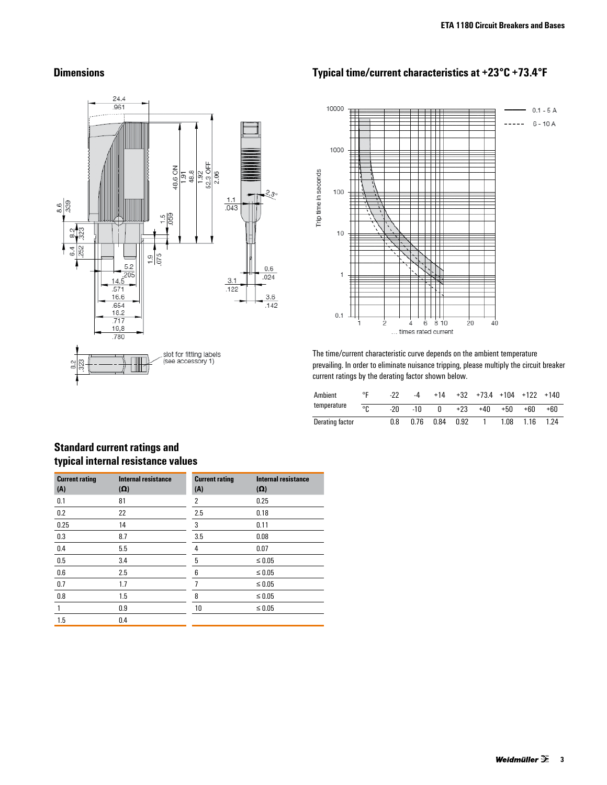

# **Dimensions Typical time/current characteristics at +23°C +73.4°F**



The time/current characteristic curve depends on the ambient temperature prevailing. In order to eliminate nuisance tripping, please multiply the circuit breaker current ratings by the derating factor shown below.

| Ambient         | ٥L | -22 | -4    | $+14$ | $+32$ |     |      | $+73.4$ $+104$ $+122$ $+140$ |      |
|-----------------|----|-----|-------|-------|-------|-----|------|------------------------------|------|
| temperature     | ٥ρ | -2በ | $-10$ |       | $+23$ | +40 | +50  | +60                          | +60  |
| Derating factor |    | 0.8 | 0.76  | 0.84  | 0.92  |     | 1.08 | 1.16                         | 1.24 |

# **Standard current ratings and typical internal resistance values**

| <b>Current rating</b><br>(A) | <b>Internal resistance</b><br>$(\Omega)$ | <b>Current rating</b><br>(A) | <b>Internal resistance</b><br>$(\Omega)$ |
|------------------------------|------------------------------------------|------------------------------|------------------------------------------|
| 0.1                          | 81                                       | $\overline{2}$               | 0.25                                     |
| 0.2                          | 22                                       | 2.5                          | 0.18                                     |
| 0.25                         | 14                                       | 3                            | 0.11                                     |
| 0.3                          | 8.7                                      | 3.5                          | 0.08                                     |
| 0.4                          | 5.5                                      | 4                            | 0.07                                     |
| 0.5                          | 3.4                                      | 5                            | $\leq 0.05$                              |
| 0.6                          | 2.5                                      | 6                            | $\leq 0.05$                              |
| 0.7                          | 1.7                                      |                              | $\leq 0.05$                              |
| 0.8                          | 1.5                                      | 8                            | $\leq 0.05$                              |
| 1                            | 0.9                                      | 10                           | $\leq 0.05$                              |
| 1.5                          | 0.4                                      |                              |                                          |